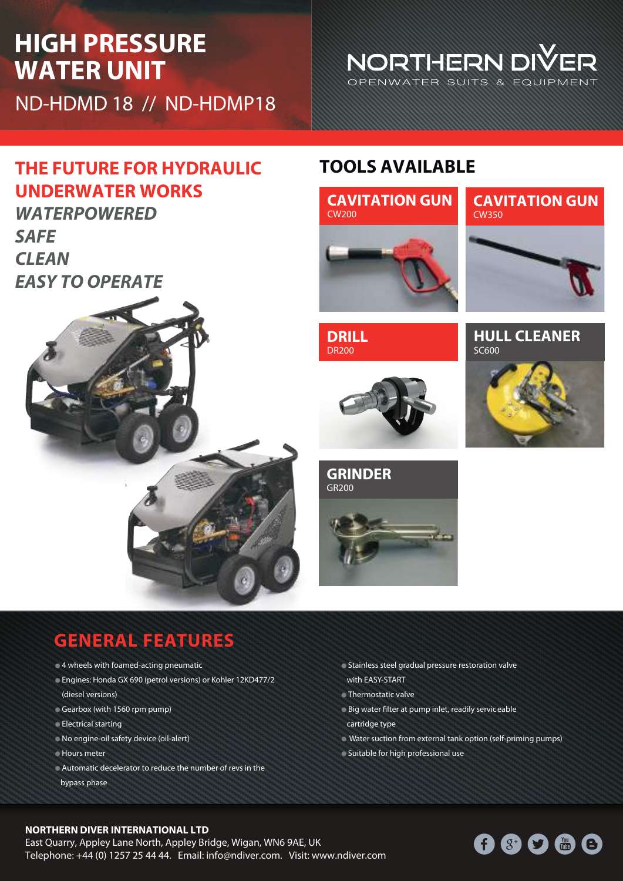# **HIGH PRESSURE WATER UNIT**

**UNDERWATER WORKS**

*WATERPOWERED*

*EASY TO OPERATE*

*SAFE*

*CLEAN*

ND-HDMD 18 // ND-HDMP18

### **THE FUTURE FOR HYDRAULIC TOOLS AVAILABLE**



NORTHERN DIVER OPENWATER SUITS & EQUIPMENT

**DRILL** DR200



**HULL CLEANER** SC600



**GRINDER** GR200



### **GENERAL FEATURES**

- $\bullet$  4 wheels with foamed-acting pneumatic
- Engines: Honda GX 690 (petrol versions) or Kohler 12KD477/2 (diesel versions)
- Gearbox (with 1560 rpm pump)
- Electrical starting
- No engine-oil safety device (oil-alert)
- **Hours meter**
- Automatic decelerator to reduce the number of revs in the bypass phase
- Stainless steel gradual pressure restoration valve with EASY-START
- **Thermostatic valve**
- $\bullet$  Big water filter at pump inlet, readily serviceable cartridge type
- Water suction from external tank option (self-priming pumps)
- Suitable for high professional use

#### **NORTHERN DIVER INTERNATIONAL LTD**

East Quarry, Appley Lane North, Appley Bridge, Wigan, WN6 9AE, UK Telephone: +44 (0) 1257 25 44 44. Email: info@ndiver.com. Visit: www.ndiver.com